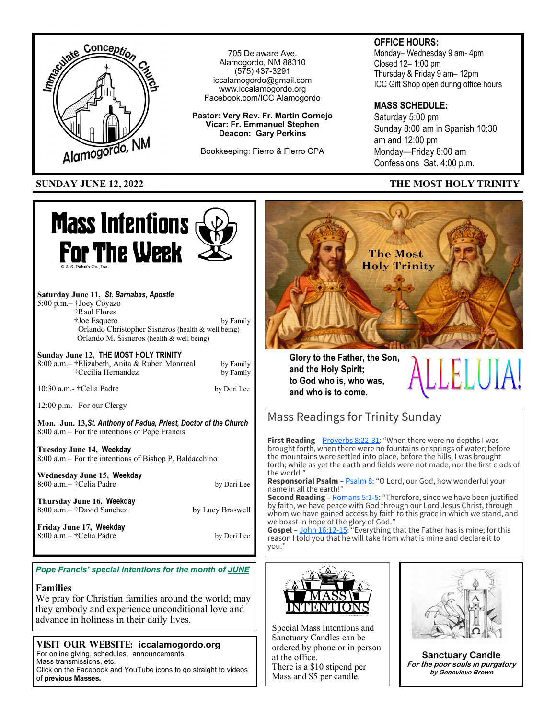

*Pope Francis' special intentions for the month of JUNE* 

### **Families**

We pray for Christian families around the world; may they embody and experience unconditional love and advance in holiness in their daily lives.

### **VISIT OUR WEBSITE: iccalamogordo.org**

For online giving, schedules, announcements, Mass transmissions, etc.

Click on the Facebook and YouTube icons to go straight to videos of **previous Masses.** 

Special Mass Intentions and Sanctuary Candles can be

ordered by phone or in person at the office. There is a \$10 stipend per Mass and \$5 per candle.



**Sanctuary Candle For the poor souls in purgatory by Genevieve Brown**